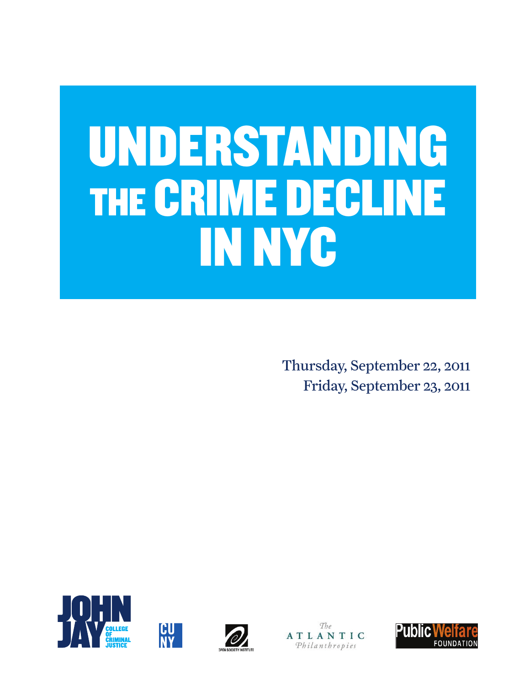## UNDERSTANDING THE CRIME DECLINE IN NYC

Thursday, September 22, 2011 Friday, September 23, 2011







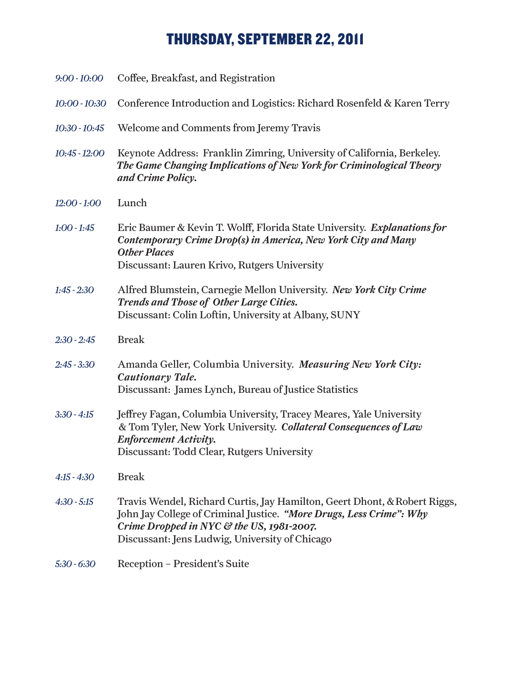## THURSDAY, SEPTEMBER 22, 2011

| $9:00 - 10:00$  | Coffee, Breakfast, and Registration                                                                                                                                                                                                             |
|-----------------|-------------------------------------------------------------------------------------------------------------------------------------------------------------------------------------------------------------------------------------------------|
| $10:00 - 10:30$ | Conference Introduction and Logistics: Richard Rosenfeld & Karen Terry                                                                                                                                                                          |
| $10:30 - 10:45$ | Welcome and Comments from Jeremy Travis                                                                                                                                                                                                         |
| $10:45 - 12:00$ | Keynote Address: Franklin Zimring, University of California, Berkeley.<br>The Game Changing Implications of New York for Criminological Theory<br>and Crime Policy.                                                                             |
| $12:00 - 1:00$  | Lunch                                                                                                                                                                                                                                           |
| $1:00 - 1:45$   | Eric Baumer & Kevin T. Wolff, Florida State University. Explanations for<br>Contemporary Crime Drop(s) in America, New York City and Many<br><b>Other Places</b><br>Discussant: Lauren Krivo, Rutgers University                                |
| $1:45 - 2:30$   | Alfred Blumstein, Carnegie Mellon University. New York City Crime<br>Trends and Those of Other Large Cities.<br>Discussant: Colin Loftin, University at Albany, SUNY                                                                            |
| $2:30 - 2:45$   | <b>Break</b>                                                                                                                                                                                                                                    |
| $2:45 - 3:30$   | Amanda Geller, Columbia University. Measuring New York City:<br>Cautionary Tale.<br>Discussant: James Lynch, Bureau of Justice Statistics                                                                                                       |
| $3:30 - 4:15$   | Jeffrey Fagan, Columbia University, Tracey Meares, Yale University<br>& Tom Tyler, New York University. Collateral Consequences of Law<br><b>Enforcement Activity.</b><br>Discussant: Todd Clear, Rutgers University                            |
| $4:15 - 4:30$   | <b>Break</b>                                                                                                                                                                                                                                    |
| $4:30 - 5:15$   | Travis Wendel, Richard Curtis, Jay Hamilton, Geert Dhont, & Robert Riggs,<br>John Jay College of Criminal Justice. "More Drugs, Less Crime": Why<br>Crime Dropped in NYC & the US, 1981-2007.<br>Discussant: Jens Ludwig, University of Chicago |
| $5:30 - 6:30$   | Reception - President's Suite                                                                                                                                                                                                                   |